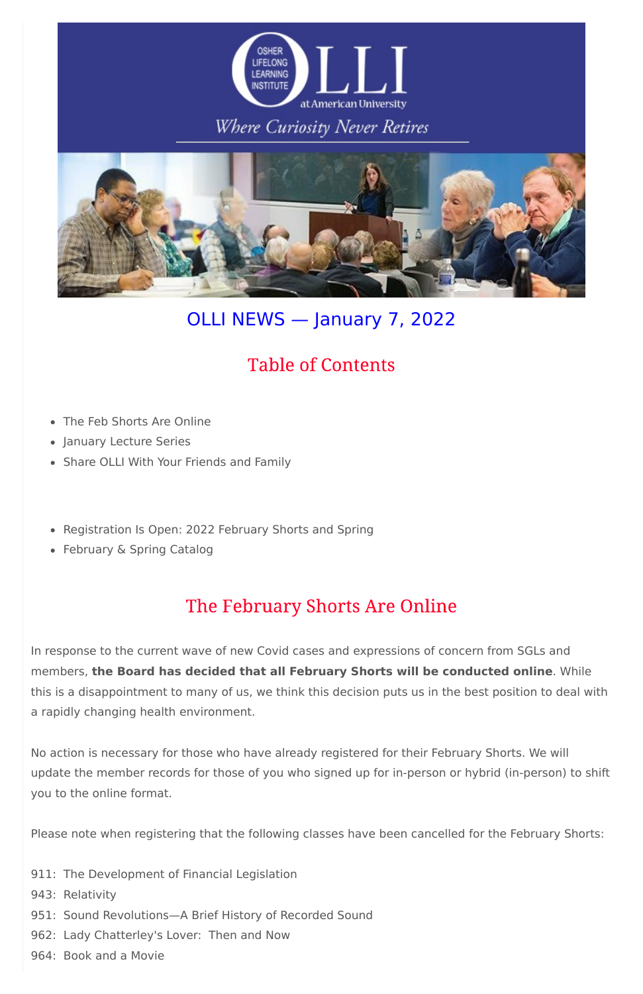

## Where Curiosity Never Retires



# OLLI NEWS — January 7, 2022

# **Table of Contents**

- The Feb Shorts Are Online
- January Lecture Series
- Share OLLI With Your Friends and Family
- Registration Is Open: 2022 February Shorts and Spring
- February & Spring Catalog

# The February Shorts Are Online

In response to the current wave of new Covid cases and expressions of concern from SGLs and members, **the Board has decided that all February Shorts will be conducted online**. While this is a disappointment to many of us, we think this decision puts us in the best position to deal with a rapidly changing health environment.

No action is necessary for those who have already registered for their February Shorts. We will update the member records for those of you who signed up for in-person or hybrid (in-person) to shift you to the online format.

Please note when registering that the following classes have been cancelled for the February Shorts:

911: The Development of Financial Legislation

943: Relativity

- 951: Sound Revolutions—A Brief History of Recorded Sound
- 962: Lady Chatterley's Lover: Then and Now

964: Book and a Movie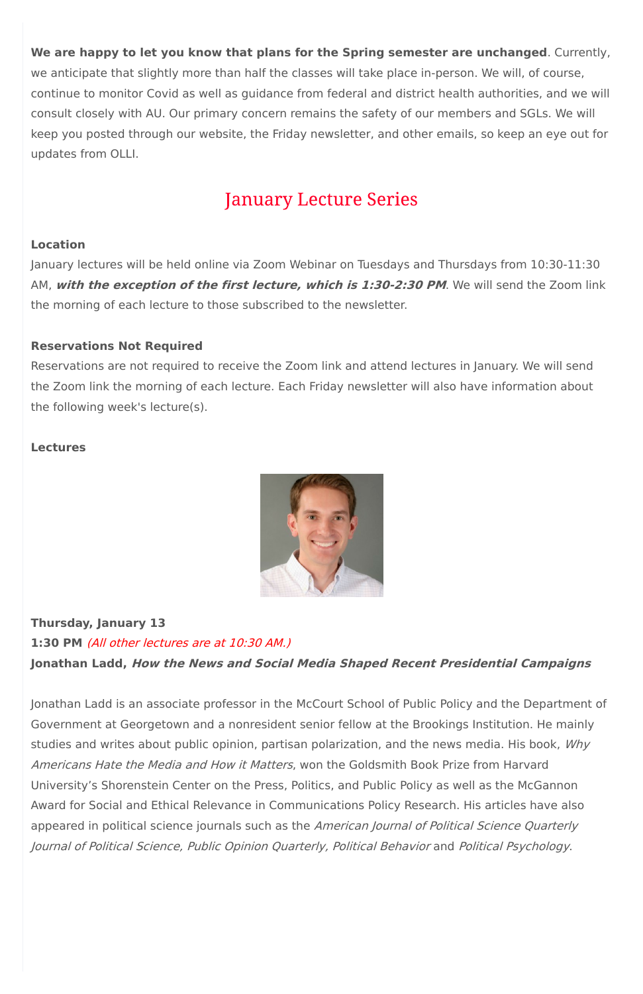**We are happy to let you know that plans for the Spring semester are unchanged**. Currently, we anticipate that slightly more than half the classes will take place in-person. We will, of course, continue to monitor Covid as well as guidance from federal and district health authorities, and we will consult closely with AU. Our primary concern remains the safety of our members and SGLs. We will keep you posted through our website, the Friday newsletter, and other emails, so keep an eye out for updates from OLLI.

# **January Lecture Series**

### **Location**

January lectures will be held online via Zoom Webinar on Tuesdays and Thursdays from 10:30-11:30 AM, **with the exception of the first lecture, which is 1:30-2:30 PM**. We will send the Zoom link the morning of each lecture to those subscribed to the newsletter.

### **Reservations Not Required**

Reservations are not required to receive the Zoom link and attend lectures in January. We will send the Zoom link the morning of each lecture. Each Friday newsletter will also have information about the following week's lecture(s).

studies and writes about public opinion, partisan polarization, and the news media. His book, Why Americans Hate the Media and How it Matters, won the Goldsmith Book Prize from Harvard University's Shorenstein Center on the Press, Politics, and Public Policy as well as the McGannon Award for Social and Ethical Relevance in Communications Policy Research. His articles have also appeared in political science journals such as the American Journal of Political Science Quarterly Journal of Political Science, Public Opinion Quarterly, Political Behavior and Political Psychology.

### **Lectures**



### **Thursday, January 13**

**1:30 PM** (All other lectures are at 10:30 AM.) **Jonathan Ladd, How the News and Social Media Shaped Recent Presidential Campaigns**

Jonathan Ladd is an associate professor in the McCourt School of Public Policy and the Department of Government at Georgetown and a nonresident senior fellow at the Brookings Institution. He mainly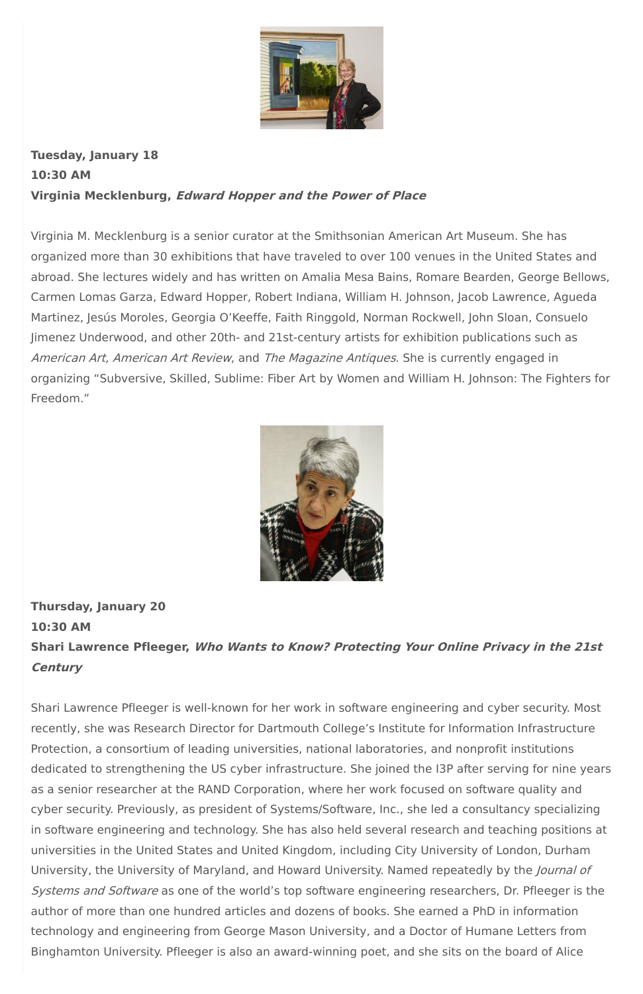

**Tuesday, January 18 10:30 AM Virginia Mecklenburg, Edward Hopper and the Power of Place**

Virginia M. Mecklenburg is a senior curator at the Smithsonian American Art Museum. She has organized more than 30 exhibitions that have traveled to over 100 venues in the United States and abroad. She lectures widely and has written on Amalia Mesa Bains, Romare Bearden, George Bellows, Carmen Lomas Garza, Edward Hopper, Robert Indiana, William H. Johnson, Jacob Lawrence, Agueda Martinez, Jesús Moroles, Georgia O'Keeffe, Faith Ringgold, Norman Rockwell, John Sloan, Consuelo Jimenez Underwood, and other 20th- and 21st-century artists for exhibition publications such as American Art, American Art Review, and The Magazine Antiques. She is currently engaged in organizing "Subversive, Skilled, Sublime: Fiber Art by Women and William H. Johnson: The Fighters for Freedom."



**Thursday, January 20 10:30 AM Shari Lawrence Pfleeger, Who Wants to Know? Protecting Your Online Privacy in the 21st Century**

Shari Lawrence Pfleeger is well-known for her work in software engineering and cyber security. Most recently, she was Research Director for Dartmouth College's Institute for Information Infrastructure

Protection, a consortium of leading universities, national laboratories, and nonprofit institutions dedicated to strengthening the US cyber infrastructure. She joined the I3P after serving for nine years as a senior researcher at the RAND Corporation, where her work focused on software quality and cyber security. Previously, as president of Systems/Software, Inc., she led a consultancy specializing in software engineering and technology. She has also held several research and teaching positions at universities in the United States and United Kingdom, including City University of London, Durham University, the University of Maryland, and Howard University. Named repeatedly by the *Journal of* Systems and Software as one of the world's top software engineering researchers, Dr. Pfleeger is the author of more than one hundred articles and dozens of books. She earned a PhD in information technology and engineering from George Mason University, and a Doctor of Humane Letters from Binghamton University. Pfleeger is also an award-winning poet, and she sits on the board of Alice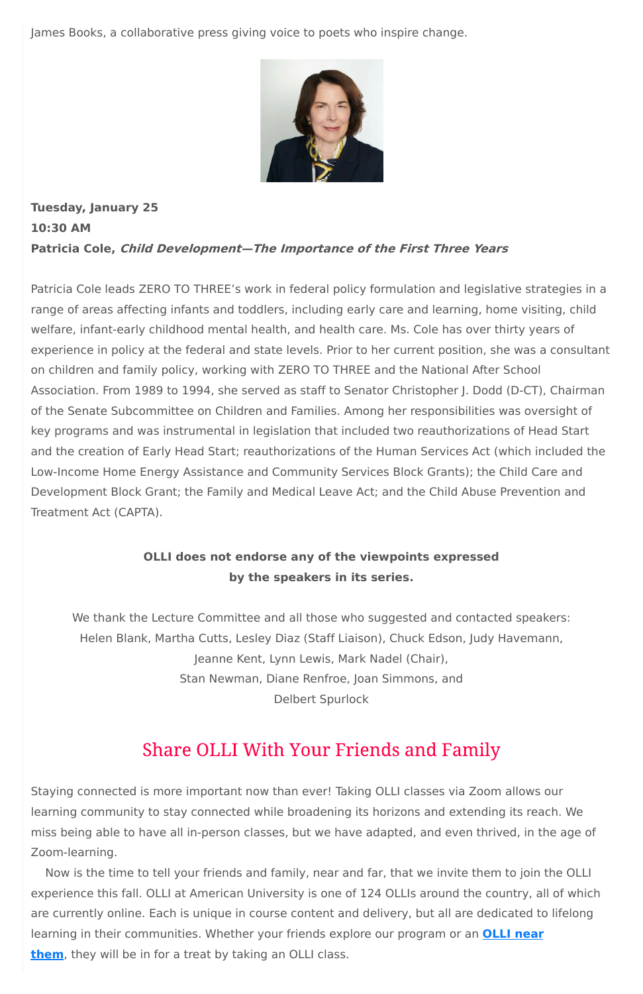James Books, a collaborative press giving voice to poets who inspire change.



### **Tuesday, January 25 10:30 AM Patricia Cole, Child Development—The Importance of the First Three Years**

Patricia Cole leads ZERO TO THREE's work in federal policy formulation and legislative strategies in a range of areas affecting infants and toddlers, including early care and learning, home visiting, child welfare, infant-early childhood mental health, and health care. Ms. Cole has over thirty years of experience in policy at the federal and state levels. Prior to her current position, she was a consultant on children and family policy, working with ZERO TO THREE and the National After School Association. From 1989 to 1994, she served as staff to Senator Christopher J. Dodd (D-CT), Chairman of the Senate Subcommittee on Children and Families. Among her responsibilities was oversight of key programs and was instrumental in legislation that included two reauthorizations of Head Start and the creation of Early Head Start; reauthorizations of the Human Services Act (which included the Low-Income Home Energy Assistance and Community Services Block Grants); the Child Care and Development Block Grant; the Family and Medical Leave Act; and the Child Abuse Prevention and Treatment Act (CAPTA).

### **OLLI does not endorse any of the viewpoints expressed by the speakers in its series.**

We thank the Lecture Committee and all those who suggested and contacted speakers: Helen Blank, Martha Cutts, Lesley Diaz (Staff Liaison), Chuck Edson, Judy Havemann, Jeanne Kent, Lynn Lewis, Mark Nadel (Chair), Stan Newman, Diane Renfroe, Joan Simmons, and Delbert Spurlock

## **Share OLLI With Your Friends and Family**

Staying connected is more important now than ever! Taking OLLI classes via Zoom allows our learning community to stay connected while broadening its horizons and extending its reach. We miss being able to have all in-person classes, but we have adapted, and even thrived, in the age of Zoom-learning.

Now is the time to tell your friends and family, near and far, that we invite them to join the OLLI experience this fall. OLLI at American University is one of 124 OLLIs around the country, all of which are currently online. Each is unique in course content and delivery, but all are dedicated to lifelong learning in their [communities.](https://sps.northwestern.edu/oshernrc/files_nrc/lli_directory_2019.pdf) Whether your friends explore our program or an **OLLI near them**, they will be in for a treat by taking an OLLI class.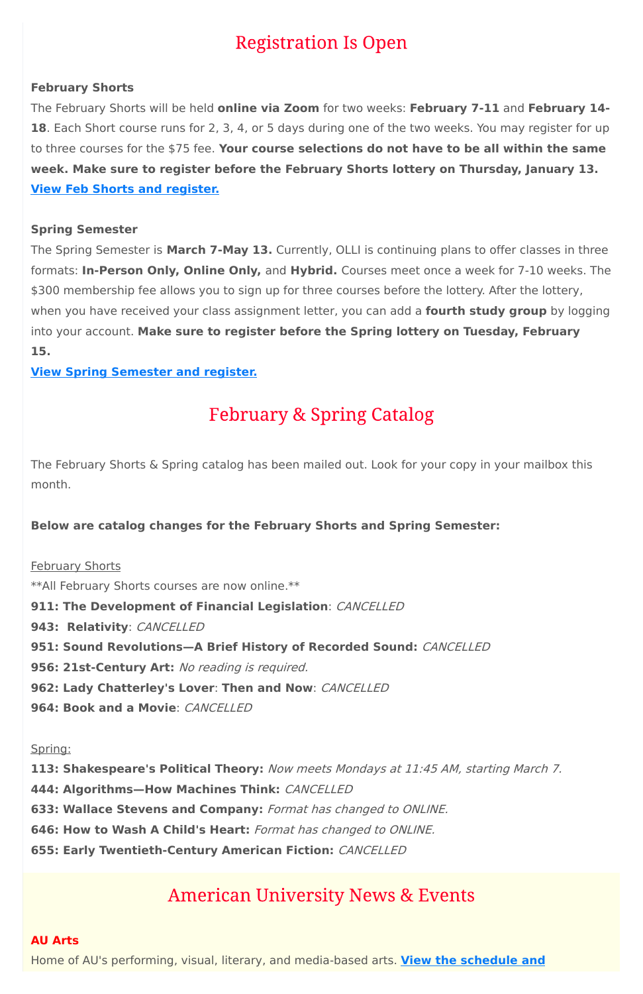# **Registration Is Open**

### **February Shorts**

The February Shorts will be held **online via Zoom** for two weeks: **February 7-11** and **February 14- 18**. Each Short course runs for 2, 3, 4, or 5 days during one of the two weeks. You may register for up to three courses for the \$75 fee. **Your course selections do not have to be all within the same week. Make sure to register before the February Shorts lottery on Thursday, January 13. View Feb Shorts and [register.](https://www.olli-dc.org/shorts_courses)**

### **Spring Semester**

The February Shorts & Spring catalog has been mailed out. Look for your copy in your mailbox this month.

The Spring Semester is **March 7-May 13.** Currently, OLLI is continuing plans to offer classes in three formats: **In-Person Only, Online Only,** and **Hybrid.** Courses meet once a week for 7-10 weeks. The \$300 membership fee allows you to sign up for three courses before the lottery. After the lottery, when you have received your class assignment letter, you can add a **fourth study group** by logging into your account. **Make sure to register before the Spring lottery on Tuesday, February 15.**

**View Spring [Semester](https://www.olli-dc.org/view_all_study_groups) and register.**

# **February & Spring Catalog**

### **Below are catalog changes for the February Shorts and Spring Semester:**

#### February Shorts

\*\*All February Shorts courses are now online.\*\*

### **911: The Development of Financial Legislation**: CANCELLED

**943: Relativity**: CANCELLED

- **951: Sound Revolutions—A Brief History of Recorded Sound:** CANCELLED
- **956: 21st-Century Art:** No reading is required.
- **962: Lady Chatterley's Lover**: **Then and Now**: CANCELLED
- **964: Book and a Movie**: CANCELLED

#### Spring:

**113: Shakespeare's Political Theory:** Now meets Mondays at 11:45 AM, starting March 7. **444: Algorithms—How Machines Think:** CANCELLED

**633: Wallace Stevens and Company:** Format has changed to ONLINE.

**646: How to Wash A Child's Heart:** Format has changed to ONLINE.

**655: Early Twentieth-Century American Fiction:** CANCELLED

## **American University News & Events**

#### **AU Arts**

Home of AU's performing, visual, literary, and [media-based](https://www.american.edu/arts/) arts. **View the schedule and**